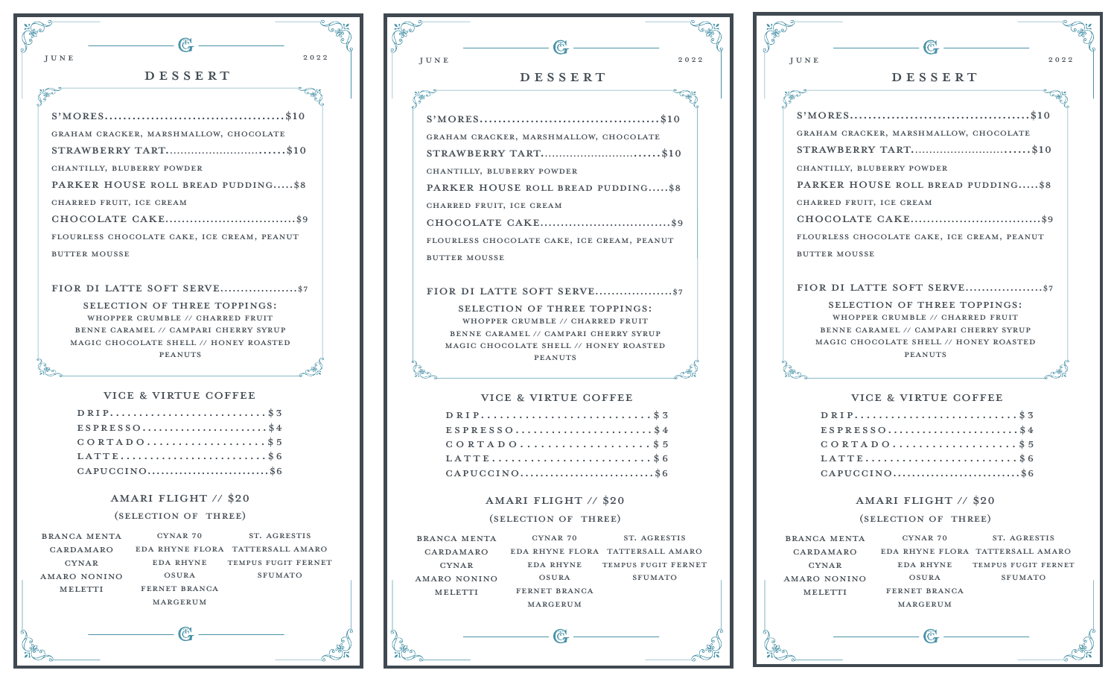





## VICE & VIRTUE COFFEE

| $D$ RIP\$3      |
|-----------------|
| $ESTRESSO$ \$4  |
| $C$ ORTADO\$5   |
| LATTE\$6        |
| $CAPUCCINO$ \$6 |

## amari flight // \$20

## (selection of three)

| <b>BRANCA MENTA</b> | CYNAR 70      | ST. AGRESTIS                     |
|---------------------|---------------|----------------------------------|
| CARDAMARO           |               | EDA RHYNE FLORA TATTERSALL AMARO |
| <b>CYNAR</b>        | EDA RHYNE     | TEMPUS FUGIT FERNET              |
| AMARO NONINO        | OSURA         | <b>SFUMATO</b>                   |
| MELETTI             | FERNET BRANCA |                                  |
|                     | MARGERUM      |                                  |